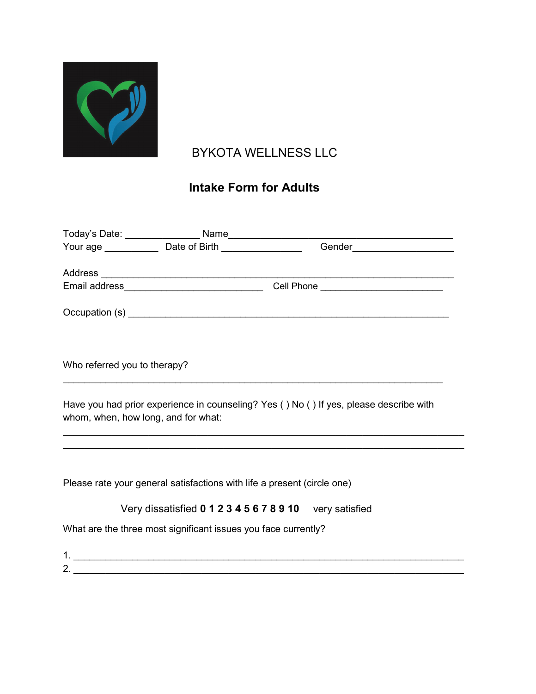

# BYKOTA WELLNESS LLC

## Intake Form for Adults

| Who referred you to therapy?                                            |                                                                                        |
|-------------------------------------------------------------------------|----------------------------------------------------------------------------------------|
| whom, when, how long, and for what:                                     | Have you had prior experience in counseling? Yes () No () If yes, please describe with |
| Please rate your general satisfactions with life a present (circle one) |                                                                                        |
| Very dissatisfied 0 1 2 3 4 5 6 7 8 9 10 very satisfied                 |                                                                                        |
| What are the three most significant issues you face currently?          |                                                                                        |
| 2. $\qquad \qquad$                                                      |                                                                                        |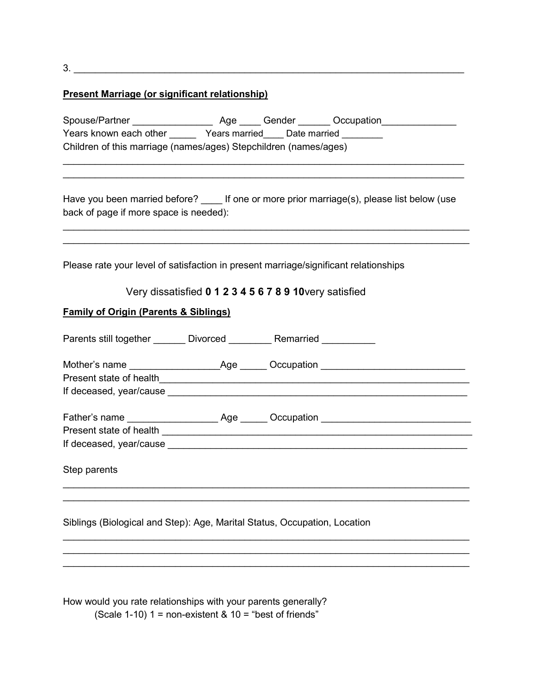$3.$ 

### Present Marriage (or significant relationship)

| Spouse/Partner                                                   | Aqe           | Gender       | Occupation |  |
|------------------------------------------------------------------|---------------|--------------|------------|--|
| Years known each other                                           | Years married | Date married |            |  |
| Children of this marriage (names/ages) Stepchildren (names/ages) |               |              |            |  |

 $\mathcal{L}_\text{max}$  and  $\mathcal{L}_\text{max}$  and  $\mathcal{L}_\text{max}$  and  $\mathcal{L}_\text{max}$  and  $\mathcal{L}_\text{max}$  and  $\mathcal{L}_\text{max}$  $\mathcal{L}_\text{max}$  and  $\mathcal{L}_\text{max}$  and  $\mathcal{L}_\text{max}$  and  $\mathcal{L}_\text{max}$  and  $\mathcal{L}_\text{max}$  and  $\mathcal{L}_\text{max}$ 

| Have you been married before?          |  | If one or more prior marriage(s), please list below (use |  |  |
|----------------------------------------|--|----------------------------------------------------------|--|--|
| back of page if more space is needed): |  |                                                          |  |  |

 $\mathcal{L}_\text{max}$  and  $\mathcal{L}_\text{max}$  and  $\mathcal{L}_\text{max}$  and  $\mathcal{L}_\text{max}$  and  $\mathcal{L}_\text{max}$  and  $\mathcal{L}_\text{max}$ 

Please rate your level of satisfaction in present marriage/significant relationships

#### Very dissatisfied 0 1 2 3 4 5 6 7 8 9 10very satisfied

#### Family of Origin (Parents & Siblings)

| Parents still together _______ Divorced _________ Remarried _________     |                                                                                                                                                                                                                                |
|---------------------------------------------------------------------------|--------------------------------------------------------------------------------------------------------------------------------------------------------------------------------------------------------------------------------|
|                                                                           |                                                                                                                                                                                                                                |
|                                                                           |                                                                                                                                                                                                                                |
|                                                                           |                                                                                                                                                                                                                                |
|                                                                           |                                                                                                                                                                                                                                |
|                                                                           |                                                                                                                                                                                                                                |
|                                                                           | If deceased, year/cause experience and the set of the set of the set of the set of the set of the set of the set of the set of the set of the set of the set of the set of the set of the set of the set of the set of the set |
| Step parents                                                              |                                                                                                                                                                                                                                |
|                                                                           |                                                                                                                                                                                                                                |
| Siblings (Biological and Step): Age, Marital Status, Occupation, Location |                                                                                                                                                                                                                                |

 $\mathcal{L}_\text{max}$  and  $\mathcal{L}_\text{max}$  and  $\mathcal{L}_\text{max}$  and  $\mathcal{L}_\text{max}$  and  $\mathcal{L}_\text{max}$  and  $\mathcal{L}_\text{max}$  $\mathcal{L}_\text{max}$  and  $\mathcal{L}_\text{max}$  and  $\mathcal{L}_\text{max}$  and  $\mathcal{L}_\text{max}$  and  $\mathcal{L}_\text{max}$  and  $\mathcal{L}_\text{max}$  $\mathcal{L}_\text{max}$  and  $\mathcal{L}_\text{max}$  and  $\mathcal{L}_\text{max}$  and  $\mathcal{L}_\text{max}$  and  $\mathcal{L}_\text{max}$  and  $\mathcal{L}_\text{max}$ 

How would you rate relationships with your parents generally? (Scale 1-10)  $1 =$  non-existent &  $10 =$  "best of friends"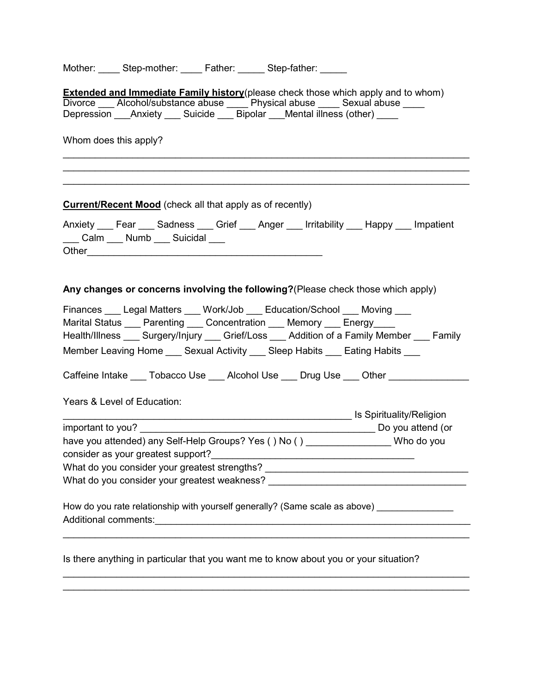Mother: \_\_\_\_\_ Step-mother: \_\_\_\_\_ Father: \_\_\_\_\_ Step-father: \_\_\_\_\_

| <b>Extended and Immediate Family history</b> (please check those which apply and to whom)                                                                                                                                                               |
|---------------------------------------------------------------------------------------------------------------------------------------------------------------------------------------------------------------------------------------------------------|
| Divorce ___ Alcohol/substance abuse ____ Physical abuse ____ Sexual abuse ____                                                                                                                                                                          |
| Depression ___Anxiety ___ Suicide ___ Bipolar ___Mental illness (other) ____                                                                                                                                                                            |
| Whom does this apply?                                                                                                                                                                                                                                   |
| <b>Current/Recent Mood</b> (check all that apply as of recently)                                                                                                                                                                                        |
| Anxiety Fear Sadness Grief Anger Irritability Happy Impatient<br>___ Calm ___ Numb ___ Suicidal ___                                                                                                                                                     |
| Any changes or concerns involving the following? (Please check those which apply)                                                                                                                                                                       |
| Finances Legal Matters ___ Work/Job ___ Education/School ___ Moving ___<br>Marital Status ____ Parenting ____ Concentration ____ Memory ____ Energy ____<br>Health/Illness ___ Surgery/Injury ___ Grief/Loss ___ Addition of a Family Member ___ Family |
| Member Leaving Home ____ Sexual Activity ____ Sleep Habits ____ Eating Habits ___                                                                                                                                                                       |
| Caffeine Intake ___ Tobacco Use ___ Alcohol Use ___ Drug Use ___ Other _________                                                                                                                                                                        |
| Years & Level of Education:                                                                                                                                                                                                                             |
|                                                                                                                                                                                                                                                         |
| important to you?                                                                                                                                                                                                                                       |
| have you attended) any Self-Help Groups? Yes () No () __________________Who do you                                                                                                                                                                      |
|                                                                                                                                                                                                                                                         |
| What do you consider your greatest strengths? __________________________________                                                                                                                                                                        |
|                                                                                                                                                                                                                                                         |
| How do you rate relationship with yourself generally? (Same scale as above) ________________                                                                                                                                                            |
| Is there anything in particular that you want me to know about you or your situation?                                                                                                                                                                   |
|                                                                                                                                                                                                                                                         |